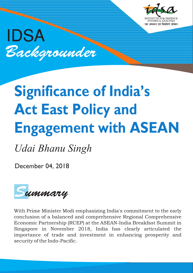IDSA Backgrounder

# **Significance of India's Act East Policy and Engagement with ASEAN**

*Udai Bhanu Singh*

December 04, 2018



With Prime Minister Modi emphasizing India's commitment to the early conclusion of a balanced and comprehensive Regional Comprehensive Economic Partnership (RCEP) at the ASEAN-India Breakfast Summit in Singapore in November 2018, India has clearly articulated the importance of trade and investment in enhancing prosperity and security of the Indo-Pacific.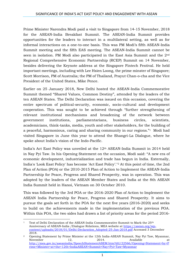Prime Minister Narendra Modi paid a visit to Singapore from 14-15 November, 2018 for the ASEAN-India Breakfast Summit. The ASEAN-India Summit provides opportunities for the leaders to interact in a multilateral setting, as well as for informal interactions on a one-to-one basis. This was PM Modi's fifth ASEAN-India Summit meeting and the fifth EAS meeting. The ASEAN-India Summit cannot be seen in isolation. PM Modi also participated in the East Asia Summit and the 2nd Regional Comprehensive Economic Partnership (RCEP) Summit on 14 November, besides delivering the Keynote address at the Singapore Fintech Festival. He held important meetings, including with Lee Hsien Loong, the prime minster of Singapore; Scott Morrison, PM of Australia; the PM of Thailand, Prayut Chan-o-cha and the Vice President of the United States, Mike Pence.

Earlier on 25 January 2018, New Delhi hosted the ASEAN-India Commemorative Summit themed "Shared Values, Common Destiny", attended by the leaders of the ten ASEAN States. The Delhi Declaration was issued on this occasion, covering the entire spectrum of political-security, economic, socio-cultural and development cooperation. This was sought to be achieved through "further strengthening of relevant institutional mechanisms and broadening of the network between government institutions, parliamentarians, business circles, scientists, academicians, think-tanks, media, youth and other stakeholders, for the building of a peaceful, harmonious, caring and sharing community in our regions."1 Modi had visited Singapore in June this year to attend the Shangri-La Dialogue, where he spoke about India's vision of the Indo-Pacific.

India's Act East Policy was unveiled at the 12<sup>th</sup> ASEAN-India Summit in 2014 held in Nay Pyi Taw. In his Opening Statement on the occasion, Modi said: "A new era of economic development, industrialization and trade has begun in India. Externally, India's 'Look East Policy' has become 'Act East Policy'."<sup>2</sup> At this point of time, the 2nd Plan of Action (POA) or the 2010-2015 Plan of Action to Implement the ASEAN-India Partnership for Peace, Progress and Shared Prosperity, was in operation. This was adopted by the leaders of the ASEAN Member States and India at the 8th ASEAN India Summit held in Hanoi, Vietnam on 30 October 2010.

This was followed by the 3rd POA or the 2016-2020 Plan of Action to Implement the ASEAN India Partnership for Peace, Progress and Shared Prosperity. It aims to pursue the goals set forth in the POA for the next five years (2016-2020) and seeks to build on the achievements made in the implementation of the previous POA. Within this POA, the two sides had drawn a list of priority areas for the period 2016-

**<sup>.</sup>** <sup>1</sup> Text of Delhi Declaration of the ASEAN-India Commemorative Summit to Mark the  $25<sup>th</sup>$ Anniversary of ASEAN-India /Dialogue Relations, MEA website at [https://asean.org/wp](https://asean.org/wp-content/uploads/2018/01/Delhi-Declaration_Adopted-25-Jan-2018.pdf)[content/uploads/2018/01/Delhi-Declaration\\_Adopted-25-Jan-2018.pdf](https://asean.org/wp-content/uploads/2018/01/Delhi-Declaration_Adopted-25-Jan-2018.pdf) Accessed 3 December 2018.

<sup>&</sup>lt;sup>2</sup> Opening Statement by Prime Minister at the 12th India-ASEAN Summit, Nay Pyi Taw, Myanmar, November 12, 2014. Available at [http://mea.gov.in/aseanindia/SpeechStatementASEM.htm?dtl/22566/Opening+Statement+by+P](http://mea.gov.in/aseanindia/SpeechStatementASEM.htm?dtl/22566/Opening+Statement+by+Prime+Minister+at+the+12th+IndiaASEAN+Summit+Nay+Pyi+Taw+Myanmar) [rime+Minister+at+the+12th+IndiaASEAN+Summit+Nay+Pyi+Taw+Myanmar](http://mea.gov.in/aseanindia/SpeechStatementASEM.htm?dtl/22566/Opening+Statement+by+Prime+Minister+at+the+12th+IndiaASEAN+Summit+Nay+Pyi+Taw+Myanmar)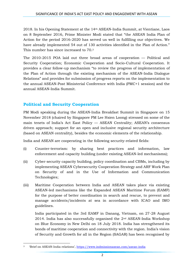2018. In his Opening Statement at the 14th ASEAN-India Summit, at Vientiane, Laos on 8 September 2016, Prime Minister Modi stated that "the ASEAN India Plan of Action for the period 2016-2020 has served us well in fulfilling our objectives. We have already implemented 54 out of 130 activities identified in the Plan of Action." This number has since increased to 70.<sup>3</sup>

The 2010-2015 POA laid out three broad areas of cooperation — Political and Security Cooperation; Economic Cooperation and Socio-Cultural Cooperation. It provides a clear follow-up mechanism "to review the progress of implementation of the Plan of Action through the existing mechanism of the ASEAN-India Dialogue Relations" and provides for submission of progress reports on the implementation to the annual ASEAN-Post Ministerial Conference with India (PMC+1 session) and the annual ASEAN-India Summit.

## **Political and Security Cooperation**

PM Modi speaking during the ASEAN-India Breakfast Summit in Singapore on 15 November 2018 (chaired by Singapore PM Lee Hsien Loong) stressed on some of the main tenets of India's Act East Policy — ASEAN Centrality; ASEAN's consensus driven approach; support for an open and inclusive regional security architecture (based on ASEAN centrality), besides the economic elements of the relationship.

India and ASEAN are cooperating in the following security-related fields:

- (i) Counter-terrorism: by sharing best practices and information, law enforcement and capacity building (under existing ASEAN-led mechanisms);
- (ii) Cyber-security capacity building, policy coordination and CBMs, including by implementing ASEAN Cybersecurity Cooperation Strategy and ARF Work Plan on Security of and in the Use of Information and Communication Technologies;
- (iii) Maritime Cooperation between India and ASEAN takes place via existing ASEAN-led mechanisms like the Expanded ASEAN Maritime Forum (EAMF) for the purpose of better coordination in search and rescue, to prevent and manage accidents/incidents at sea in accordance with ICAO and IMO guidelines.

India participated in the 3rd EAMF in Danang, Vietnam, on 27-28 August 2014. India has also successfully organised the 2nd ASEAN-India Workshop on Blue Economy in New Delhi on 18 July 2018. India has strengthened its bonds of maritime cooperation and connectivity with the region. India's vision of Security and Growth for all in the Region (SAGAR) has been recognised by

**<sup>.</sup>** <sup>3</sup> 'Brief on ASEAN-India relations', <https://www.indmissionasean.com/asean-india>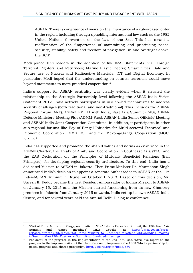ASEAN. There is congruence of views on the importance of a rules-based order in the region, including through upholding international law such as the 1982 United Nations Convention on the Law of the Sea. This has meant a reaffirmation of the "importance of maintaining and prioritising peace, security, stability, safety and freedom of navigation, in and overflight above, the SCS".

Modi joined EAS leaders in the adoption of five EAS Statements, viz., Foreign Terrorist Fighters and Returnees; Marine Plastic Debris; Smart Cities; Safe and Secure use of Nuclear and Radioactive Materials; ICT and Digital Economy. In particular, Modi hoped that the understanding on counter-terrorism would move beyond statements to more practical cooperation.<sup>4</sup>

India's support for ASEAN centrality was clearly evident when it elevated the relationship to the Strategic Partnership level following the ASEAN-India Vision Statement 2012. India actively participates in ASEAN-led mechanisms to address security challenges (both traditional and non-traditional). This includes the ASEAN Regional Forum (ARF), ASEAN PMC+1 with India, East Asia Summit (EAS), ASEAN Defence Ministers' Meeting Plus (ADMM-Plus), ASEAN-India Senior Officials' Meeting and ASEAN-India Joint Cooperation Committee. In addition, it participates in other sub-regional forums like Bay of Bengal Initiative for Multi-sectoral Technical and Economic Cooperation (BIMSTEC), and the Mekong-Ganga Cooperation (MGC) forum. <sup>5</sup>

India has supported and promoted the shared values and norms as enshrined in the ASEAN Charter, the Treaty of Amity and Cooperation in Southeast Asia (TAC) and the EAS Declaration on the Principles of Mutually Beneficial Relations (Bali Principles), for developing regional security architecture. To this end, India has a dedicated Mission to ASEAN in Jakarta. Then Prime Minister Dr. Manmohan Singh announced India's decision to appoint a separate Ambassador to ASEAN at the 11th India-ASEAN Summit in Brunei on October 1, 2013. Based on this decision, Mr. Suresh K. Reddy became the first Resident Ambassador of Indian Mission to ASEAN on January 15, 2015 and the Mission started functioning from its new Chancery premises in Jakarta from January 2015 onwards. India set up its own ASEAN-India Centre, and for several years held the annual Delhi Dialogue conference.

**.** 

<sup>4</sup> 'Visit of Prime Minister to Singapore to attend ASEAN-India Breakfast Summit, the 13th East Asia Summit and related meetings', MEA website, at [https://mea.gov.in/press](https://mea.gov.in/press-releases.htm?dtl/30601/Visit+of+Prime+Minister+to+Singapore+to+attend+ASEANIndia+Breakfast+Summit+the+13th+East+Asia+Summit+and+related+meetings)[releases.htm?dtl/30601/Visit+of+Prime+Minister+to+Singapore+to+attend+ASEANIndia+Breakfas](https://mea.gov.in/press-releases.htm?dtl/30601/Visit+of+Prime+Minister+to+Singapore+to+attend+ASEANIndia+Breakfast+Summit+the+13th+East+Asia+Summit+and+related+meetings) [t+Summit+the+13th+East+Asia+Summit+and+related+meetings](https://mea.gov.in/press-releases.htm?dtl/30601/Visit+of+Prime+Minister+to+Singapore+to+attend+ASEANIndia+Breakfast+Summit+the+13th+East+Asia+Summit+and+related+meetings)

<sup>&</sup>lt;sup>5</sup> For detail of the progress in the implementation of the 2nd POA see, 'Executive report on the progress in the implementation of the plan of action to implement the ASEAN-India partnership for peace, progress and shared prosperity', <http://aic.ris.org.in/node/689>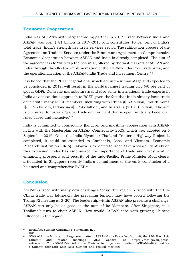## **Economic Cooperation**

India was ASEAN's sixth largest trading partner in 2017. Trade between India and ASEAN was over \$ 81 billion in 2017-2018 and constitutes 10 per cent of India's total trade. India's strength lies in its services sector. The ratification process of the Agreement on Trade in Services under the Framework Agreement on Comprehensive Economic Cooperation between ASEAN and India is already completed. The aim of the agreement is to "fully tap the potential, offered by the vast markets of ASEAN and India through the effective implementation of the ASEAN-India Free Trade Area, and the operationalization of the ASEAN-India Trade and Investment Centre." <sup>6</sup>

It is hoped that the RCEP negotiations, which are in their final stage and expected to be concluded in 2019, will result in the world's largest trading bloc (40 per cent of global GDP). Domestic manufacturers and also some international trade experts in India advise cautious approach to RCEP given the fact that India already faces trade deficit with many RCEP members, including with China (\$ 63 billion), South Korea  $(\$ 11.96  billion)$ , Indonesia  $(\$ 12.47  billion)$ , and Australia  $(\$ 10.16  billion)$ . The aim is of course, to foster a "global trade environment that is open, mutually beneficial, rules based and inclusive." <sup>7</sup>

India is committed to connectivity (land, air and maritime) cooperation with ASEAN in line with the Masterplan on ASEAN Connectivity 2025, which was adopted on 6 September 2016. Once the India-Myanmar-Thailand Trilateral Highway Project is completed, it could be extended to Cambodia, Laos, and Vietnam. Economic Research Institution (ERIA), Jakarta is expected to undertake a feasibility study on this extension. India has emphasized the importance of trade and investment in enhancing prosperity and security of the Indo-Pacific. Prime Minister Modi clearly articulated in Singapore recently India's commitment to the early conclusion of a balanced and comprehensive RCEP.<sup>8</sup>

## **Conclusion**

ASEAN is faced with many new challenges today. The region is faced with the US-China trade war (although the prevailing tension may have cooled following the Trump-Xi meeting at G-20). The leadership within ASEAN also presents a challenge. ASEAN can only be as good as the sum of its Members. After Singapore, it is Thailand's turn to chair ASEAN. How would ASEAN cope with growing Chinese influence in the region?

**<sup>.</sup>** <sup>6</sup> Breakfast Summit Chairman's Statement, n. 1.

<sup>7</sup> Ibid

<sup>8</sup> 'Visit of Prime Minister to Singapore to attend ASEAN-India Breakfast Summit, the 13th East Asia Summit and related meetings', MEA website, at https://mea.gov.in/pressreleases.htm?dtl/30601/Visit+of+Prime+Minister+to+Singapore+to+attend+ASEANIndia+Breakfas t+Summit+the+13th+East+Asia+Summit+and+related+meetings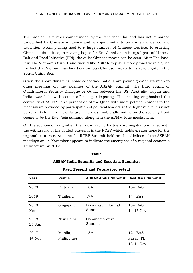The problem is further compounded by the fact that Thailand has not remained untouched by Chinese influence and is coping with its own internal democratic transition. From playing host to a large number of Chinese tourists, to ordering Chinese submarines, to reviving hopes for Kra Canal as an integral part of Chinese Belt and Road Initiative (BRI), the quiet Chinese moves can be seen. After Thailand, it will be Vietnam's turn. Hanoi would like ASEAN to play a more proactive role given the fact that Vietnam has faced continuous Chinese threats to its sovereignty in the South China Sea.

Given the above dynamics, some concerned nations are paying greater attention to other meetings on the sidelines of the ASEAN Summit. The third round of Quadrilateral Security Dialogue or Quad, between the US, Australia, Japan and India, was held with senior officials participating. The meeting emphasised the centrality of ASEAN. An upgradation of the Quad with more political content to the mechanism provided by participation of political leaders at the highest level may not be very likely in the near future. The most viable alternative on the security front seems to be the East Asia summit, along with the ADMM-Plus mechanism.

On the economic front, when the Trans Pacific Partnership negotiations failed with the withdrawal of the United States, it is the RCEP which holds greater hope for the regional countries. And the 2nd RCEP Summit held on the sidelines of the ASEAN meetings on 14 November appears to indicate the emergence of a regional economic architecture by 2019.

#### **Table**

#### **ASEAN-India Summits and East Asia Summits:**

| Year               | Venue                  | ASEAN-India Summit   East Asia Summit |                                          |
|--------------------|------------------------|---------------------------------------|------------------------------------------|
| 2020               | Vietnam                | 18 <sup>th</sup>                      | 15th EAS                                 |
| 2019               | Thailand               | 17 <sup>th</sup>                      | $14th$ EAS                               |
| 2018<br><b>Nov</b> | Singapore              | Breakfast Informal<br>Summit          | $13th$ EAS<br>$14 - 15$ Nov              |
| 2018<br>$25$ Jan   | New Delhi              | Commemorative<br>Summit               |                                          |
| 2017<br>14 Nov     | Manila,<br>Philippines | 15 <sup>th</sup>                      | $12th$ EAS,<br>Pasay, Ph.<br>$13-14$ Nov |

### **Past, Present and Future (projected)**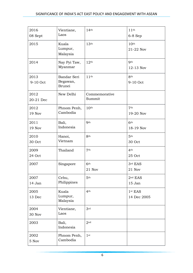| 2016<br>08 Sept   | Vientiane,<br>Laos                       | 14 <sup>th</sup>          | 11 <sup>th</sup><br>$6-8$ Sep      |
|-------------------|------------------------------------------|---------------------------|------------------------------------|
| 2015              | Kuala<br>Lumpur,<br>Malaysia             | 13 <sup>th</sup>          | 10 <sup>th</sup><br>21-22 Nov      |
| 2014              | Nay Pyi Taw,<br>Myanmar                  | 12 <sup>th</sup>          | <b>Oth</b><br>12-13 Nov            |
| 2013<br>9-10 Oct  | Bandar Seri<br>Begawan,<br><b>Brunei</b> | 11 <sup>th</sup>          | 8 <sup>th</sup><br>9-10 Oct        |
| 2012<br>20-21 Dec | New Delhi                                | Commemorative<br>Summit   |                                    |
| 2012<br>19 Nov    | Phnom Penh,<br>Cambodia                  | 10 <sup>th</sup>          | 7 <sup>th</sup><br>19-20 Nov       |
| 2011<br>19 Nov    | Bali,<br>Indonesia                       | Q <sub>th</sub>           | 6 <sup>th</sup><br>18-19 Nov       |
| 2010<br>30 Oct    | Hanoi,<br>Vietnam                        | 8 <sup>th</sup>           | 5 <sup>th</sup><br>30 Oct          |
| 2009<br>24 Oct    | Thailand                                 | 7 <sup>th</sup>           | 4 <sup>th</sup><br>25 Oct          |
| 2007              | Singapore                                | 6 <sup>th</sup><br>21 Nov | 3rd EAS<br>21 Nov                  |
| 2007<br>14 Jan    | Cebu,<br>Philippines                     | 5 <sup>th</sup>           | 2 <sup>nd</sup> EAS<br>15 Jan      |
| 2005<br>13 Dec    | Kuala<br>Lumpur,<br>Malaysia             | 4 <sup>th</sup>           | 1 <sup>st</sup> EAS<br>14 Dec 2005 |
| 2004<br>30 Nov    | Vientiane,<br>Laos                       | 3rd                       |                                    |
| 2003              | Bali,<br>Indonesia                       | 2 <sub>nd</sub>           |                                    |
| 2002<br>5 Nov     | Phnom Penh,<br>Cambodia                  | 1 <sup>st</sup>           |                                    |